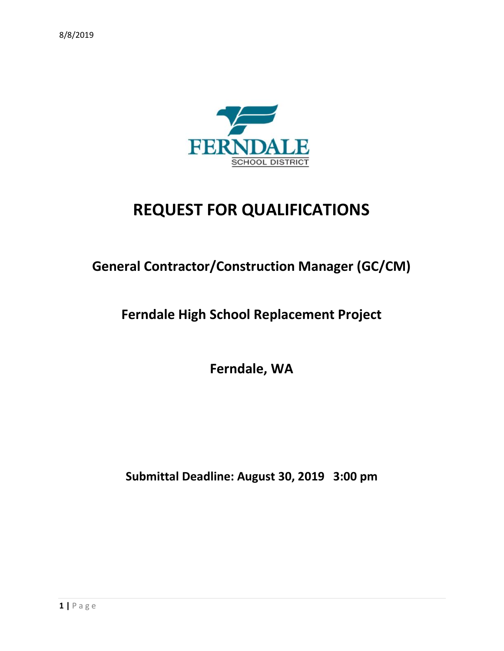

# **REQUEST FOR QUALIFICATIONS**

# **General Contractor/Construction Manager (GC/CM)**

# **Ferndale High School Replacement Project**

**Ferndale, WA**

**Submittal Deadline: August 30, 2019 3:00 pm**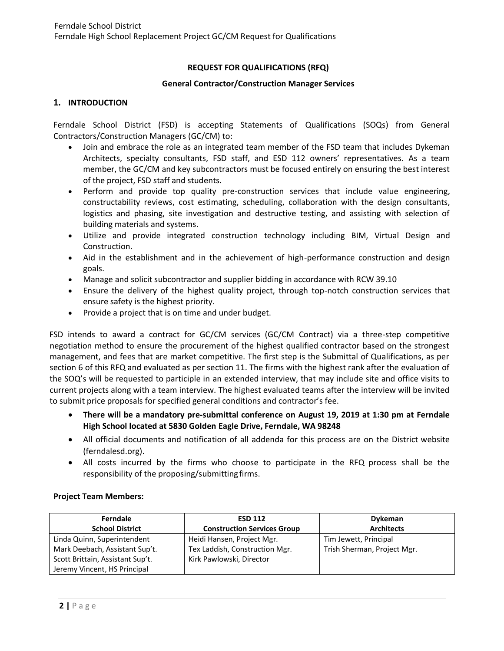# **REQUEST FOR QUALIFICATIONS (RFQ)**

#### **General Contractor/Construction Manager Services**

#### **1. INTRODUCTION**

Ferndale School District (FSD) is accepting Statements of Qualifications (SOQs) from General Contractors/Construction Managers (GC/CM) to:

- Join and embrace the role as an integrated team member of the FSD team that includes Dykeman Architects, specialty consultants, FSD staff, and ESD 112 owners' representatives. As a team member, the GC/CM and key subcontractors must be focused entirely on ensuring the best interest of the project, FSD staff and students.
- Perform and provide top quality pre-construction services that include value engineering, constructability reviews, cost estimating, scheduling, collaboration with the design consultants, logistics and phasing, site investigation and destructive testing, and assisting with selection of building materials and systems.
- Utilize and provide integrated construction technology including BIM, Virtual Design and Construction.
- Aid in the establishment and in the achievement of high-performance construction and design goals.
- Manage and solicit subcontractor and supplier bidding in accordance with RCW 39.10
- Ensure the delivery of the highest quality project, through top-notch construction services that ensure safety is the highest priority.
- Provide a project that is on time and under budget.

FSD intends to award a contract for GC/CM services (GC/CM Contract) via a three-step competitive negotiation method to ensure the procurement of the highest qualified contractor based on the strongest management, and fees that are market competitive. The first step is the Submittal of Qualifications, as per section 6 of this RFQ and evaluated as per section 11. The firms with the highest rank after the evaluation of the SOQ's will be requested to participle in an extended interview, that may include site and office visits to current projects along with a team interview. The highest evaluated teams after the interview will be invited to submit price proposals for specified general conditions and contractor's fee.

- **There will be a mandatory pre-submittal conference on August 19, 2019 at 1:30 pm at Ferndale High School located at 5830 Golden Eagle Drive, Ferndale, WA 98248**
- All official documents and notification of all addenda for this process are on the District website (ferndalesd.org).
- All costs incurred by the firms who choose to participate in the RFQ process shall be the responsibility of the proposing/submittingfirms.

#### **Project Team Members:**

| Ferndale                         | <b>ESD 112</b>                     | <b>Dykeman</b>              |
|----------------------------------|------------------------------------|-----------------------------|
| <b>School District</b>           | <b>Construction Services Group</b> | <b>Architects</b>           |
| Linda Quinn, Superintendent      | Heidi Hansen, Project Mgr.         | Tim Jewett, Principal       |
| Mark Deebach, Assistant Sup't.   | Tex Laddish, Construction Mgr.     | Trish Sherman, Project Mgr. |
| Scott Brittain, Assistant Sup't. | Kirk Pawlowski, Director           |                             |
| Jeremy Vincent, HS Principal     |                                    |                             |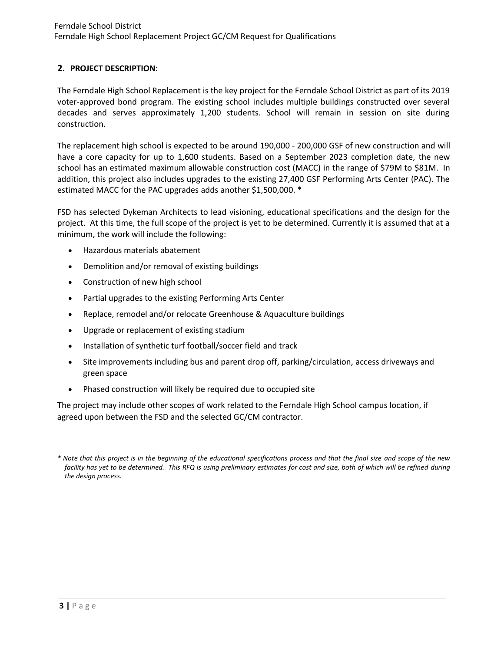# **2. PROJECT DESCRIPTION**:

The Ferndale High School Replacement is the key project for the Ferndale School District as part of its 2019 voter-approved bond program. The existing school includes multiple buildings constructed over several decades and serves approximately 1,200 students. School will remain in session on site during construction.

The replacement high school is expected to be around 190,000 - 200,000 GSF of new construction and will have a core capacity for up to 1,600 students. Based on a September 2023 completion date, the new school has an estimated maximum allowable construction cost (MACC) in the range of \$79M to \$81M. In addition, this project also includes upgrades to the existing 27,400 GSF Performing Arts Center (PAC). The estimated MACC for the PAC upgrades adds another \$1,500,000. \*

FSD has selected Dykeman Architects to lead visioning, educational specifications and the design for the project. At this time, the full scope of the project is yet to be determined. Currently it is assumed that at a minimum, the work will include the following:

- Hazardous materials abatement
- Demolition and/or removal of existing buildings
- Construction of new high school
- Partial upgrades to the existing Performing Arts Center
- Replace, remodel and/or relocate Greenhouse & Aquaculture buildings
- Upgrade or replacement of existing stadium
- Installation of synthetic turf football/soccer field and track
- Site improvements including bus and parent drop off, parking/circulation, access driveways and green space
- Phased construction will likely be required due to occupied site

The project may include other scopes of work related to the Ferndale High School campus location, if agreed upon between the FSD and the selected GC/CM contractor.

*<sup>\*</sup> Note that this project is in the beginning of the educational specifications process and that the final size and scope of the new facility has yet to be determined. This RFQ is using preliminary estimates for cost and size, both of which will be refined during the design process.*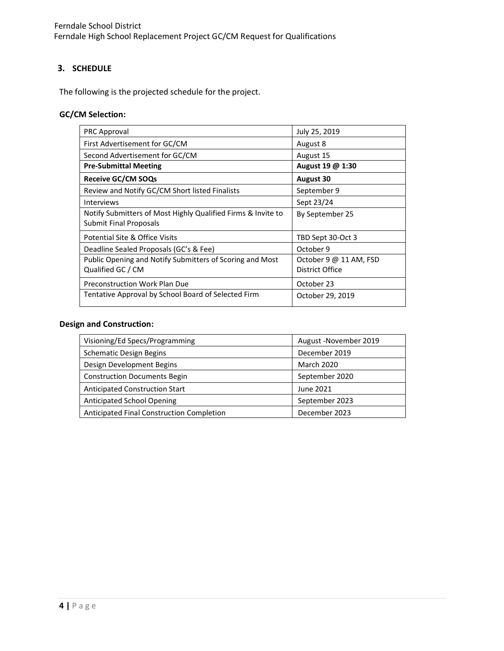Ferndale School District Ferndale High School Replacement Project GC/CM Request for Qualifications

#### **3. SCHEDULE**

The following is the projected schedule for the project.

# **GC/CM Selection:**

| <b>PRC Approval</b>                                                                           | July 25, 2019                             |
|-----------------------------------------------------------------------------------------------|-------------------------------------------|
| First Advertisement for GC/CM                                                                 | August 8                                  |
| Second Advertisement for GC/CM                                                                | August 15                                 |
| <b>Pre-Submittal Meeting</b>                                                                  | August 19 @ 1:30                          |
| <b>Receive GC/CM SOQs</b>                                                                     | <b>August 30</b>                          |
| Review and Notify GC/CM Short listed Finalists                                                | September 9                               |
| <b>Interviews</b>                                                                             | Sept 23/24                                |
| Notify Submitters of Most Highly Qualified Firms & Invite to<br><b>Submit Final Proposals</b> | By September 25                           |
| Potential Site & Office Visits                                                                | TBD Sept 30-Oct 3                         |
| Deadline Sealed Proposals (GC's & Fee)                                                        | October 9                                 |
| Public Opening and Notify Submitters of Scoring and Most<br>Qualified GC / CM                 | October 9 @ 11 AM, FSD<br>District Office |
| Preconstruction Work Plan Due                                                                 | October 23                                |
| Tentative Approval by School Board of Selected Firm                                           | October 29, 2019                          |

#### **Design and Construction:**

| Visioning/Ed Specs/Programming            | August - November 2019 |
|-------------------------------------------|------------------------|
| <b>Schematic Design Begins</b>            | December 2019          |
| Design Development Begins                 | <b>March 2020</b>      |
| <b>Construction Documents Begin</b>       | September 2020         |
| <b>Anticipated Construction Start</b>     | June 2021              |
| <b>Anticipated School Opening</b>         | September 2023         |
| Anticipated Final Construction Completion | December 2023          |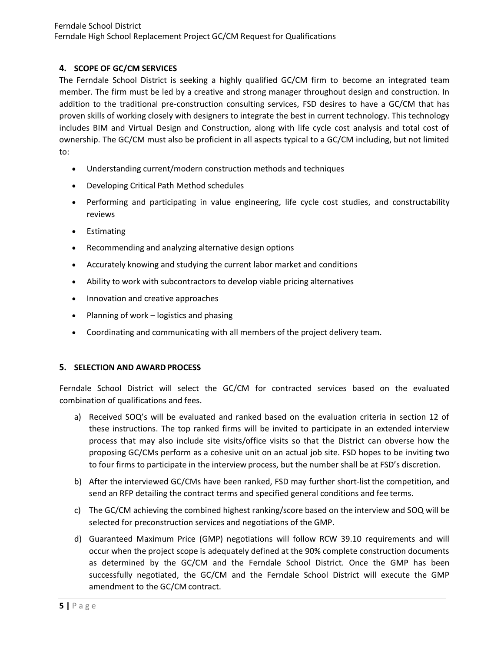# **4. SCOPE OF GC/CM SERVICES**

The Ferndale School District is seeking a highly qualified GC/CM firm to become an integrated team member. The firm must be led by a creative and strong manager throughout design and construction. In addition to the traditional pre-construction consulting services, FSD desires to have a GC/CM that has proven skills of working closely with designers to integrate the best in current technology. This technology includes BIM and Virtual Design and Construction, along with life cycle cost analysis and total cost of ownership. The GC/CM must also be proficient in all aspects typical to a GC/CM including, but not limited to:

- Understanding current/modern construction methods and techniques
- Developing Critical Path Method schedules
- Performing and participating in value engineering, life cycle cost studies, and constructability reviews
- Estimating
- Recommending and analyzing alternative design options
- Accurately knowing and studying the current labor market and conditions
- Ability to work with subcontractors to develop viable pricing alternatives
- Innovation and creative approaches
- Planning of work logistics and phasing
- Coordinating and communicating with all members of the project delivery team.

# **5. SELECTION AND AWARD PROCESS**

Ferndale School District will select the GC/CM for contracted services based on the evaluated combination of qualifications and fees.

- a) Received SOQ's will be evaluated and ranked based on the evaluation criteria in section 12 of these instructions. The top ranked firms will be invited to participate in an extended interview process that may also include site visits/office visits so that the District can obverse how the proposing GC/CMs perform as a cohesive unit on an actual job site. FSD hopes to be inviting two to four firms to participate in the interview process, but the number shall be at FSD's discretion.
- b) After the interviewed GC/CMs have been ranked, FSD may further short-listthe competition, and send an RFP detailing the contract terms and specified general conditions and fee terms.
- c) The GC/CM achieving the combined highest ranking/score based on the interview and SOQ will be selected for preconstruction services and negotiations of the GMP.
- d) Guaranteed Maximum Price (GMP) negotiations will follow RCW 39.10 requirements and will occur when the project scope is adequately defined at the 90% complete construction documents as determined by the GC/CM and the Ferndale School District. Once the GMP has been successfully negotiated, the GC/CM and the Ferndale School District will execute the GMP amendment to the GC/CM contract.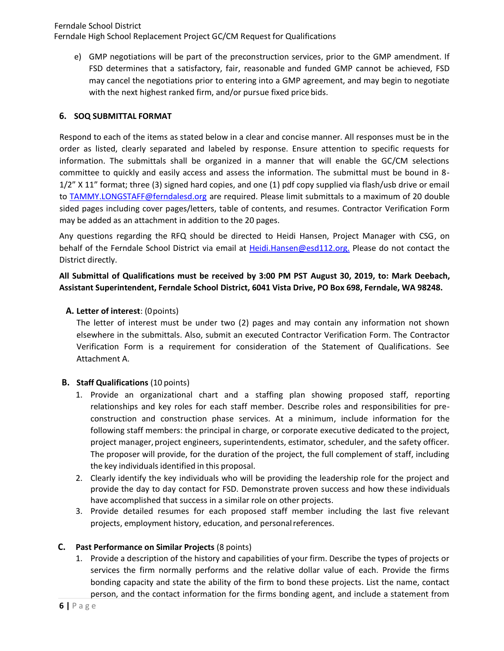Ferndale School District Ferndale High School Replacement Project GC/CM Request for Qualifications

e) GMP negotiations will be part of the preconstruction services, prior to the GMP amendment. If FSD determines that a satisfactory, fair, reasonable and funded GMP cannot be achieved, FSD may cancel the negotiations prior to entering into a GMP agreement, and may begin to negotiate with the next highest ranked firm, and/or pursue fixed pricebids.

#### **6. SOQ SUBMITTAL FORMAT**

Respond to each of the items as stated below in a clear and concise manner. All responses must be in the order as listed, clearly separated and labeled by response. Ensure attention to specific requests for information. The submittals shall be organized in a manner that will enable the GC/CM selections committee to quickly and easily access and assess the information. The submittal must be bound in 8- 1/2" X 11" format; three (3) signed hard copies, and one (1) pdf copy supplied via flash/usb drive or email to [TAMMY.LONGSTAFF@ferndalesd.org](mailto:TAMMY.LONGSTAFF@ferndalesd.org) are required. Please limit submittals to a maximum of 20 double sided pages including cover pages/letters, table of contents, and resumes. Contractor Verification Form may be added as an attachment in addition to the 20 pages.

Any questions regarding the RFQ should be directed to Heidi Hansen, Project Manager with CSG, on behalf of the Ferndale School District via email at <Heidi.Hansen@esd112.org.> Please do not contact the District directly.

**All Submittal of Qualifications must be received by 3:00 PM PST August 30, 2019, to: Mark Deebach, Assistant Superintendent, Ferndale School District, 6041 Vista Drive, PO Box 698, Ferndale, WA 98248.**

#### **A. Letter of interest**: (0points)

The letter of interest must be under two (2) pages and may contain any information not shown elsewhere in the submittals. Also, submit an executed Contractor Verification Form. The Contractor Verification Form is a requirement for consideration of the Statement of Qualifications. See Attachment A.

#### **B. Staff Qualifications** (10 points)

- 1. Provide an organizational chart and a staffing plan showing proposed staff, reporting relationships and key roles for each staff member. Describe roles and responsibilities for preconstruction and construction phase services. At a minimum, include information for the following staff members: the principal in charge, or corporate executive dedicated to the project, project manager, project engineers, superintendents, estimator, scheduler, and the safety officer. The proposer will provide, for the duration of the project, the full complement of staff, including the key individuals identified in this proposal.
- 2. Clearly identify the key individuals who will be providing the leadership role for the project and provide the day to day contact for FSD. Demonstrate proven success and how these individuals have accomplished that success in a similar role on other projects.
- 3. Provide detailed resumes for each proposed staff member including the last five relevant projects, employment history, education, and personalreferences.

#### **C. Past Performance on Similar Projects** (8 points)

1. Provide a description of the history and capabilities of your firm. Describe the types of projects or services the firm normally performs and the relative dollar value of each. Provide the firms bonding capacity and state the ability of the firm to bond these projects. List the name, contact person, and the contact information for the firms bonding agent, and include a statement from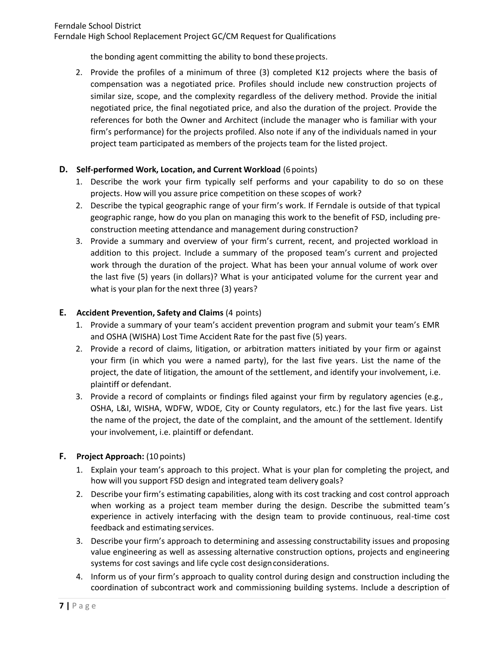#### Ferndale School District

Ferndale High School Replacement Project GC/CM Request for Qualifications

the bonding agent committing the ability to bond these projects.

2. Provide the profiles of a minimum of three (3) completed K12 projects where the basis of compensation was a negotiated price. Profiles should include new construction projects of similar size, scope, and the complexity regardless of the delivery method. Provide the initial negotiated price, the final negotiated price, and also the duration of the project. Provide the references for both the Owner and Architect (include the manager who is familiar with your firm's performance) for the projects profiled. Also note if any of the individuals named in your project team participated as members of the projects team for the listed project.

# **D. Self-performed Work, Location, and Current Workload** (6 points)

- 1. Describe the work your firm typically self performs and your capability to do so on these projects. How will you assure price competition on these scopes of work?
- 2. Describe the typical geographic range of your firm's work. If Ferndale is outside of that typical geographic range, how do you plan on managing this work to the benefit of FSD, including preconstruction meeting attendance and management during construction?
- 3. Provide a summary and overview of your firm's current, recent, and projected workload in addition to this project. Include a summary of the proposed team's current and projected work through the duration of the project. What has been your annual volume of work over the last five (5) years (in dollars)? What is your anticipated volume for the current year and what is your plan for the next three (3) years?

# **E. Accident Prevention, Safety and Claims** (4 points)

- 1. Provide a summary of your team's accident prevention program and submit your team's EMR and OSHA (WISHA) Lost Time Accident Rate for the past five (5) years.
- 2. Provide a record of claims, litigation, or arbitration matters initiated by your firm or against your firm (in which you were a named party), for the last five years. List the name of the project, the date of litigation, the amount of the settlement, and identify your involvement, i.e. plaintiff or defendant.
- 3. Provide a record of complaints or findings filed against your firm by regulatory agencies (e.g., OSHA, L&I, WISHA, WDFW, WDOE, City or County regulators, etc.) for the last five years. List the name of the project, the date of the complaint, and the amount of the settlement. Identify your involvement, i.e. plaintiff or defendant.

# **F. Project Approach:** (10 points)

- 1. Explain your team's approach to this project. What is your plan for completing the project, and how will you support FSD design and integrated team delivery goals?
- 2. Describe your firm's estimating capabilities, along with its cost tracking and cost control approach when working as a project team member during the design. Describe the submitted team's experience in actively interfacing with the design team to provide continuous, real-time cost feedback and estimating services.
- 3. Describe your firm's approach to determining and assessing constructability issues and proposing value engineering as well as assessing alternative construction options, projects and engineering systems for cost savings and life cycle cost designconsiderations.
- 4. Inform us of your firm's approach to quality control during design and construction including the coordination of subcontract work and commissioning building systems. Include a description of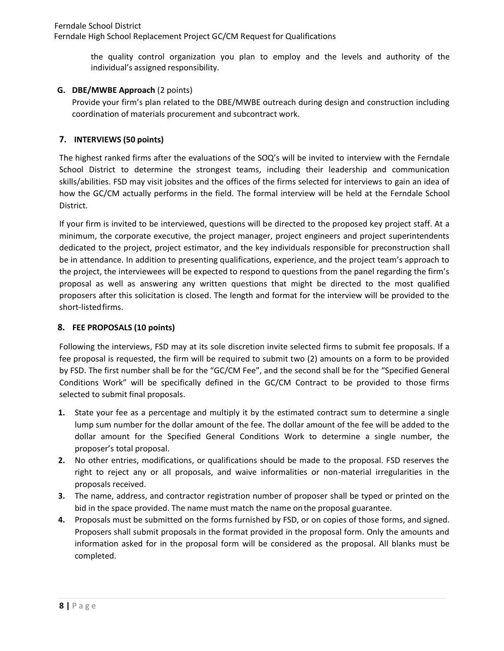Ferndale School District Ferndale High School Replacement Project GC/CM Request for Qualifications

> the quality control organization you plan to employ and the levels and authority of the individual's assigned responsibility.

# **G. DBE/MWBE Approach** (2 points)

Provide your firm's plan related to the DBE/MWBE outreach during design and construction including coordination of materials procurement and subcontract work.

# **7. INTERVIEWS (50 points)**

The highest ranked firms after the evaluations of the SOQ's will be invited to interview with the Ferndale School District to determine the strongest teams, including their leadership and communication skills/abilities. FSD may visit jobsites and the offices of the firms selected for interviews to gain an idea of how the GC/CM actually performs in the field. The formal interview will be held at the Ferndale School District.

If your firm is invited to be interviewed, questions will be directed to the proposed key project staff. At a minimum, the corporate executive, the project manager, project engineers and project superintendents dedicated to the project, project estimator, and the key individuals responsible for preconstruction shall be in attendance. In addition to presenting qualifications, experience, and the project team's approach to the project, the interviewees will be expected to respond to questions from the panel regarding the firm's proposal as well as answering any written questions that might be directed to the most qualified proposers after this solicitation is closed. The length and format for the interview will be provided to the short-listedfirms.

# **8. FEE PROPOSALS (10 points)**

Following the interviews, FSD may at its sole discretion invite selected firms to submit fee proposals. If a fee proposal is requested, the firm will be required to submit two (2) amounts on a form to be provided by FSD. The first number shall be for the "GC/CM Fee", and the second shall be for the "Specified General Conditions Work" will be specifically defined in the GC/CM Contract to be provided to those firms selected to submit final proposals.

- **1.** State your fee as a percentage and multiply it by the estimated contract sum to determine a single lump sum number for the dollar amount of the fee. The dollar amount of the fee will be added to the dollar amount for the Specified General Conditions Work to determine a single number, the proposer's total proposal.
- **2.** No other entries, modifications, or qualifications should be made to the proposal. FSD reserves the right to reject any or all proposals, and waive informalities or non-material irregularities in the proposals received.
- **3.** The name, address, and contractor registration number of proposer shall be typed or printed on the bid in the space provided. The name must match the name onthe proposal guarantee.
- **4.** Proposals must be submitted on the forms furnished by FSD, or on copies of those forms, and signed. Proposers shall submit proposals in the format provided in the proposal form. Only the amounts and information asked for in the proposal form will be considered as the proposal. All blanks must be completed.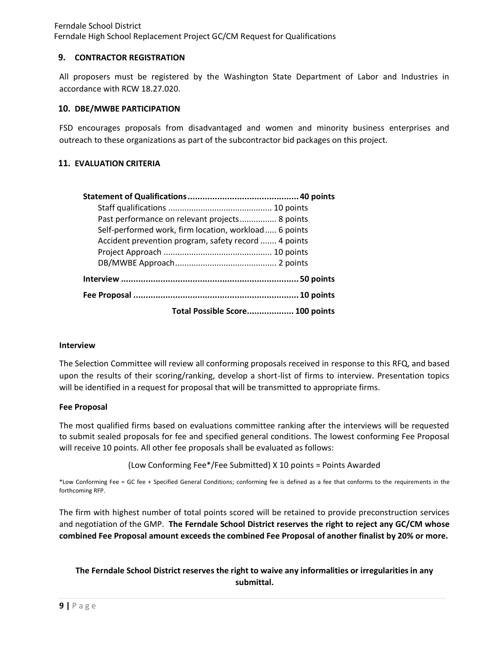### **9. CONTRACTOR REGISTRATION**

All proposers must be registered by the Washington State Department of Labor and Industries in accordance with RCW 18.27.020.

#### **10. DBE/MWBE PARTICIPATION**

FSD encourages proposals from disadvantaged and women and minority business enterprises and outreach to these organizations as part of the subcontractor bid packages on this project.

# **11. EVALUATION CRITERIA**

| Past performance on relevant projects 8 points        |  |
|-------------------------------------------------------|--|
| Self-performed work, firm location, workload 6 points |  |
| Accident prevention program, safety record  4 points  |  |
|                                                       |  |
|                                                       |  |
|                                                       |  |
|                                                       |  |
| Total Possible Score 100 points                       |  |

#### **Interview**

The Selection Committee will review all conforming proposals received in response to this RFQ, and based upon the results of their scoring/ranking, develop a short-list of firms to interview. Presentation topics will be identified in a request for proposal that will be transmitted to appropriate firms.

#### **Fee Proposal**

The most qualified firms based on evaluations committee ranking after the interviews will be requested to submit sealed proposals for fee and specified general conditions. The lowest conforming Fee Proposal will receive 10 points. All other fee proposals shall be evaluated as follows:

(Low Conforming Fee\*/Fee Submitted) X 10 points = Points Awarded

\*Low Conforming Fee = GC fee + Specified General Conditions; conforming fee is defined as a fee that conforms to the requirements in the forthcoming RFP.

The firm with highest number of total points scored will be retained to provide preconstruction services and negotiation of the GMP. **The Ferndale School District reserves the right to reject any GC/CM whose combined Fee Proposal amount exceeds the combined Fee Proposal of another finalist by 20% or more.**

# **The Ferndale School District reserves the right to waive any informalities or irregularities in any submittal.**